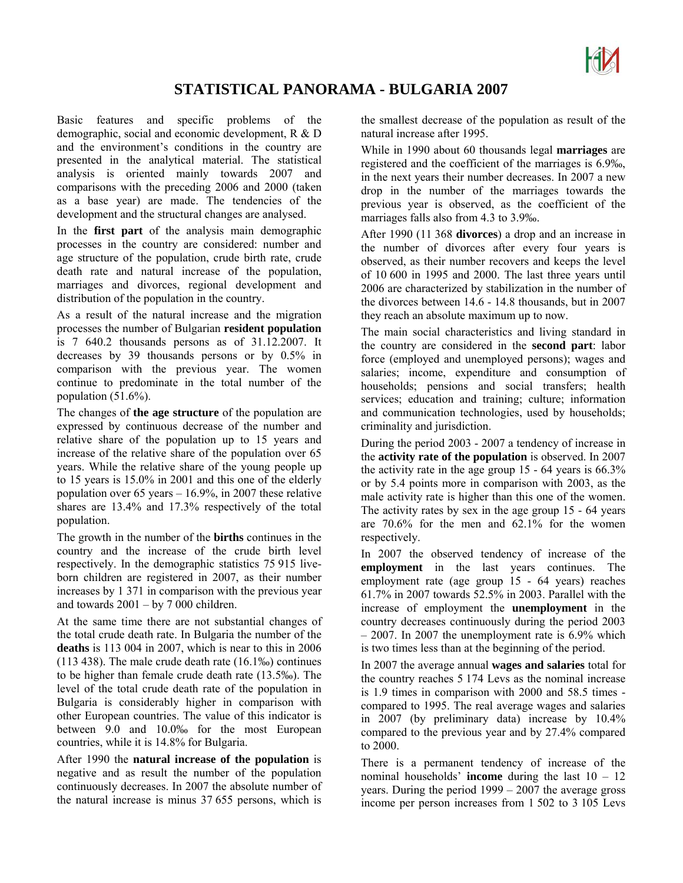

## **STATISTICAL PANORAMA - BULGARIA 2007**

Basic features and specific problems of the demographic, social and economic development, R & D and the environment's conditions in the country are presented in the analytical material. The statistical analysis is oriented mainly towards 2007 and comparisons with the preceding 2006 and 2000 (taken as a base year) are made. The tendencies of the development and the structural changes are analysed.

In the **first part** of the analysis main demographic processes in the country are considered: number and age structure of the population, crude birth rate, crude death rate and natural increase of the population, marriages and divorces, regional development and distribution of the population in the country.

As a result of the natural increase and the migration processes the number of Bulgarian **resident population**  is 7 640.2 thousands persons as of 31.12.2007. It decreases by 39 thousands persons or by 0.5% in comparison with the previous year. The women continue to predominate in the total number of the population (51.6%).

The changes of **the age structure** of the population are expressed by continuous decrease of the number and relative share of the population up to 15 years and increase of the relative share of the population over 65 years. While the relative share of the young people up to 15 years is 15.0% in 2001 and this one of the elderly population over 65 years – 16.9%, in 2007 these relative shares are 13.4% and 17.3% respectively of the total population.

The growth in the number of the **births** continues in the country and the increase of the crude birth level respectively. In the demographic statistics 75 915 liveborn children are registered in 2007, as their number increases by 1 371 in comparison with the previous year and towards  $2001 - by 7000$  children.

At the same time there are not substantial changes of the total crude death rate. In Bulgaria the number of the **deaths** is 113 004 in 2007, which is near to this in 2006 (113 438). The male crude death rate (16.1‰) continues to be higher than female crude death rate (13.5‰). The level of the total crude death rate of the population in Bulgaria is considerably higher in comparison with other European countries. The value of this indicator is between 9.0 and 10.0‰ for the most European countries, while it is 14.8% for Bulgaria.

After 1990 the **natural increase of the population** is negative and as result the number of the population continuously decreases. In 2007 the absolute number of the natural increase is minus 37 655 persons, which is

the smallest decrease of the population as result of the natural increase after 1995.

While in 1990 about 60 thousands legal **marriages** are registered and the coefficient of the marriages is 6.9‰, in the next years their number decreases. In 2007 a new drop in the number of the marriages towards the previous year is observed, as the coefficient of the marriages falls also from 4.3 to 3.9‰.

After 1990 (11 368 **divorces**) a drop and an increase in the number of divorces after every four years is observed, as their number recovers and keeps the level of 10 600 in 1995 and 2000. The last three years until 2006 are characterized by stabilization in the number of the divorces between 14.6 - 14.8 thousands, but in 2007 they reach an absolute maximum up to now.

The main social characteristics and living standard in the country are considered in the **second part**: labor force (employed and unemployed persons); wages and salaries; income, expenditure and consumption of households; pensions and social transfers; health services; education and training; culture; information and communication technologies, used by households; criminality and jurisdiction.

During the period 2003 - 2007 a tendency of increase in the **activity rate of the population** is observed. In 2007 the activity rate in the age group 15 - 64 years is 66.3% or by 5.4 points more in comparison with 2003, as the male activity rate is higher than this one of the women. The activity rates by sex in the age group 15 - 64 years are 70.6% for the men and 62.1% for the women respectively.

In 2007 the observed tendency of increase of the **employment** in the last years continues. The employment rate (age group 15 - 64 years) reaches 61.7% in 2007 towards 52.5% in 2003. Parallel with the increase of employment the **unemployment** in the country decreases continuously during the period 2003 – 2007. In 2007 the unemployment rate is 6.9% which is two times less than at the beginning of the period.

In 2007 the average annual **wages and salaries** total for the country reaches 5 174 Levs as the nominal increase is 1.9 times in comparison with 2000 and 58.5 times compared to 1995. The real average wages and salaries in 2007 (by preliminary data) increase by 10.4% compared to the previous year and by 27.4% compared to 2000.

There is a permanent tendency of increase of the nominal households' **income** during the last 10 – 12 years. During the period 1999 – 2007 the average gross income per person increases from 1 502 to 3 105 Levs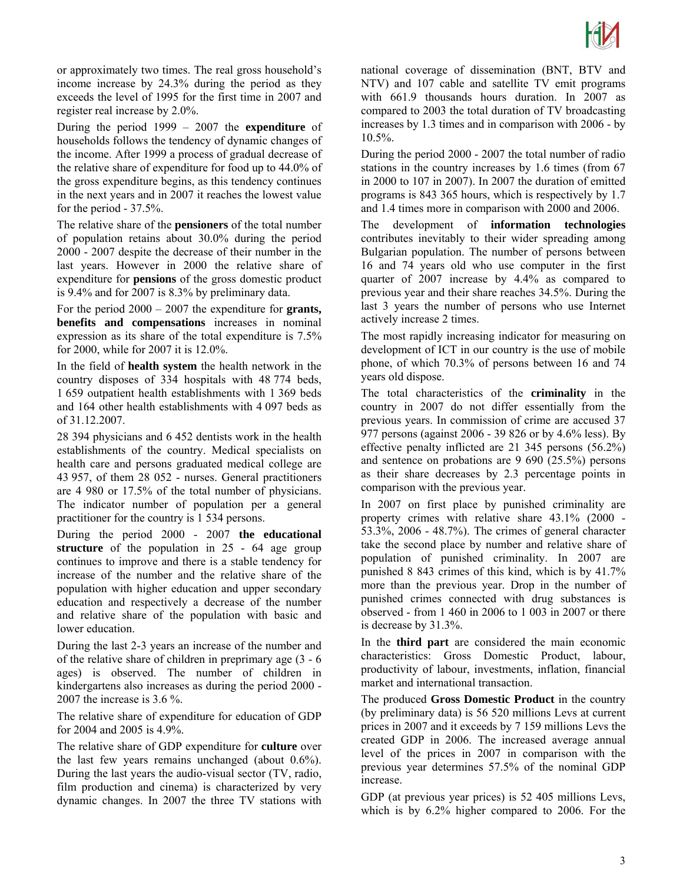

or approximately two times. The real gross household's income increase by 24.3% during the period as they exceeds the level of 1995 for the first time in 2007 and register real increase by 2.0%.

During the period 1999 – 2007 the **expenditure** of households follows the tendency of dynamic changes of the income. After 1999 a process of gradual decrease of the relative share of expenditure for food up to 44.0% of the gross expenditure begins, as this tendency continues in the next years and in 2007 it reaches the lowest value for the period - 37.5%.

The relative share of the **pensioners** of the total number of population retains about 30.0% during the period 2000 - 2007 despite the decrease of their number in the last years. However in 2000 the relative share of expenditure for **pensions** of the gross domestic product is 9.4% and for 2007 is 8.3% by preliminary data.

For the period 2000 – 2007 the expenditure for **grants, benefits and compensations** increases in nominal expression as its share of the total expenditure is 7.5% for 2000, while for 2007 it is 12.0%.

In the field of **health system** the health network in the country disposes of 334 hospitals with 48 774 beds, 1 659 outpatient health establishments with 1 369 beds and 164 other health establishments with 4 097 beds as of 31.12.2007.

28 394 physicians and 6 452 dentists work in the health establishments of the country. Medical specialists on health care and persons graduated medical college are 43 957, of them 28 052 - nurses. General practitioners are 4 980 or 17.5% of the total number of physicians. The indicator number of population per a general practitioner for the country is 1 534 persons.

During the period 2000 - 2007 **the educational structure** of the population in 25 - 64 age group continues to improve and there is a stable tendency for increase of the number and the relative share of the population with higher education and upper secondary education and respectively a decrease of the number and relative share of the population with basic and lower education.

During the last 2-3 years an increase of the number and of the relative share of children in preprimary age (3 - 6 ages) is observed. The number of children in kindergartens also increases as during the period 2000 - 2007 the increase is 3.6 %.

The relative share of expenditure for education of GDP for 2004 and 2005 is 4.9%.

The relative share of GDP expenditure for **culture** over the last few years remains unchanged (about 0.6%). During the last years the audio-visual sector (TV, radio, film production and cinema) is characterized by very dynamic changes. In 2007 the three TV stations with

national coverage of dissemination (BNT, BTV and NTV) and 107 cable and satellite TV emit programs with 661.9 thousands hours duration. In 2007 as compared to 2003 the total duration of TV broadcasting increases by 1.3 times and in comparison with 2006 - by 10.5%.

During the period 2000 - 2007 the total number of radio stations in the country increases by 1.6 times (from 67 in 2000 to 107 in 2007). In 2007 the duration of emitted programs is 843 365 hours, which is respectively by 1.7 and 1.4 times more in comparison with 2000 and 2006.

The development of **information technologies** contributes inevitably to their wider spreading among Bulgarian population. The number of persons between 16 and 74 years old who use computer in the first quarter of 2007 increase by 4.4% as compared to previous year and their share reaches 34.5%. During the last 3 years the number of persons who use Internet actively increase 2 times.

The most rapidly increasing indicator for measuring on development of ICT in our country is the use of mobile phone, of which 70.3% of persons between 16 and 74 years old dispose.

The total characteristics of the **criminality** in the country in 2007 do not differ essentially from the previous years. In commission of crime are accused 37 977 persons (against 2006 - 39 826 or by 4.6% less). By effective penalty inflicted are 21 345 persons (56.2%) and sentence on probations are 9 690 (25.5%) persons as their share decreases by 2.3 percentage points in comparison with the previous year.

In 2007 on first place by punished criminality are property crimes with relative share 43.1% (2000 - 53.3%, 2006 - 48.7%). The crimes of general character take the second place by number and relative share of population of punished criminality. In 2007 are punished 8 843 crimes of this kind, which is by 41.7% more than the previous year. Drop in the number of punished crimes connected with drug substances is observed - from 1 460 in 2006 to 1 003 in 2007 or there is decrease by 31.3%.

In the **third part** are considered the main economic characteristics: Gross Domestic Product, labour, productivity of labour, investments, inflation, financial market and international transaction.

The produced **Gross Domestic Product** in the country (by preliminary data) is 56 520 millions Levs at current prices in 2007 and it exceeds by 7 159 millions Levs the created GDP in 2006. The increased average annual level of the prices in 2007 in comparison with the previous year determines 57.5% of the nominal GDP increase.

GDP (at previous year prices) is 52 405 millions Levs, which is by 6.2% higher compared to 2006. For the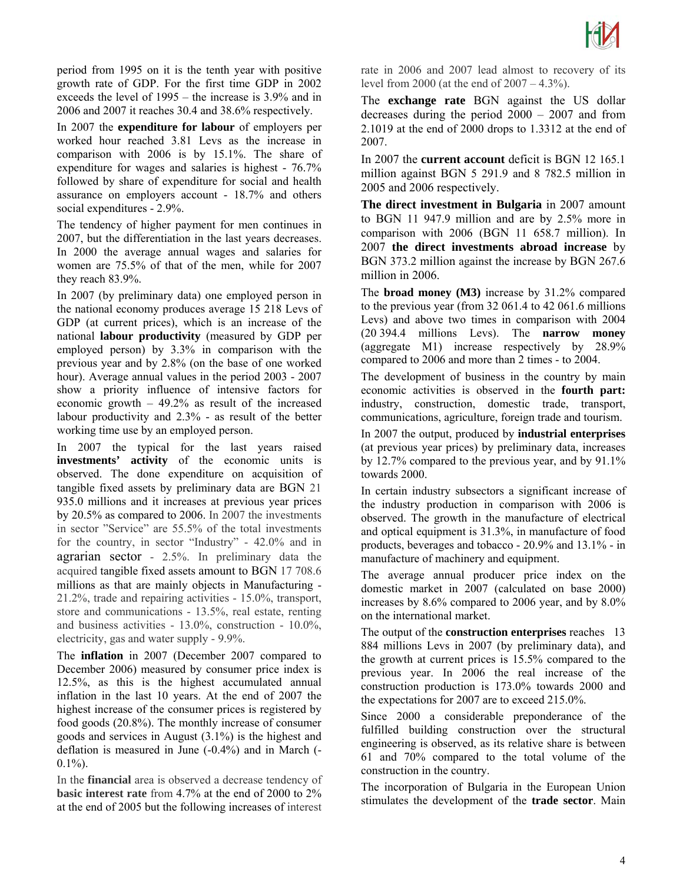

period from 1995 on it is the tenth year with positive growth rate of GDP. For the first time GDP in 2002 exceeds the level of 1995 – the increase is 3.9% and in 2006 and 2007 it reaches 30.4 and 38.6% respectively.

In 2007 the **expenditure for labour** of employers per worked hour reached 3.81 Levs as the increase in comparison with 2006 is by 15.1%. The share of expenditure for wages and salaries is highest - 76.7% followed by share of expenditure for social and health assurance on employers account - 18.7% and others social expenditures - 2.9%.

The tendency of higher payment for men continues in 2007, but the differentiation in the last years decreases. In 2000 the average annual wages and salaries for women are 75.5% of that of the men, while for 2007 they reach 83.9%.

In 2007 (by preliminary data) one employed person in the national economy produces average 15 218 Levs of GDP (at current prices), which is an increase of the national **labour productivity** (measured by GDP per employed person) by 3.3% in comparison with the previous year and by 2.8% (on the base of one worked hour). Average annual values in the period 2003 - 2007 show a priority influence of intensive factors for economic growth – 49.2% as result of the increased labour productivity and 2.3% - as result of the better working time use by an employed person.

In 2007 the typical for the last years raised **investments' activity** of the economic units is observed. The done expenditure on acquisition of tangible fixed assets by preliminary data are BGN 21 935.0 millions and it increases at previous year prices by 20.5% as compared to 2006. In 2007 the investments in sector "Service" are 55.5% of the total investments for the country, in sector "Industry" - 42.0% and in agrarian sector - 2.5%. In preliminary data the acquired tangible fixed assets amount to BGN 17 708.6 millions as that are mainly objects in Manufacturing - 21.2%, trade and repairing activities - 15.0%, transport, store and communications - 13.5%, real estate, renting and business activities - 13.0%, construction - 10.0%, electricity, gas and water supply - 9.9%.

The **inflation** in 2007 (December 2007 compared to December 2006) measured by consumer price index is 12.5%, as this is the highest accumulated annual inflation in the last 10 years. At the end of 2007 the highest increase of the consumer prices is registered by food goods (20.8%). The monthly increase of consumer goods and services in August (3.1%) is the highest and deflation is measured in June (-0.4%) and in March (-  $0.1\%$ ).

In the **financial** area is observed a decrease tendency of **basic interest rate** from 4.7% at the end of 2000 to 2% at the end of 2005 but the following increases of interest

rate in 2006 and 2007 lead almost to recovery of its level from 2000 (at the end of 2007 – 4.3%).

The **exchange rate** BGN against the US dollar decreases during the period 2000 – 2007 and from 2.1019 at the end of 2000 drops to 1.3312 at the end of 2007.

In 2007 the **current account** deficit is BGN 12 165.1 million against BGN 5 291.9 and 8 782.5 million in 2005 and 2006 respectively.

**The direct investment in Bulgaria** in 2007 amount to BGN 11 947.9 million and are by 2.5% more in comparison with 2006 (BGN 11 658.7 million). In 2007 **the direct investments abroad increase** by BGN 373.2 million against the increase by BGN 267.6 million in 2006.

The **broad money (M3)** increase by 31.2% compared to the previous year (from 32 061.4 to 42 061.6 millions Levs) and above two times in comparison with 2004 (20 394.4 millions Levs). The **narrow money** (aggregate M1) increase respectively by 28.9% compared to 2006 and more than 2 times - to 2004.

The development of business in the country by main economic activities is observed in the **fourth part:**  industry, construction, domestic trade, transport, communications, agriculture, foreign trade and tourism.

In 2007 the output, produced by **industrial enterprises** (at previous year prices) by preliminary data, increases by 12.7% compared to the previous year, and by 91.1% towards 2000.

In certain industry subsectors a significant increase of the industry production in comparison with 2006 is observed. The growth in the manufacture of electrical and optical equipment is 31.3%, in manufacture of food products, beverages and tobacco - 20.9% and 13.1% - in manufacture of machinery and equipment.

The average annual producer price index on the domestic market in 2007 (calculated on base 2000) increases by 8.6% compared to 2006 year, and by 8.0% on the international market.

The output of the **construction enterprises** reaches 13 884 millions Levs in 2007 (by preliminary data), and the growth at current prices is 15.5% compared to the previous year. In 2006 the real increase of the construction production is 173.0% towards 2000 and the expectations for 2007 are to exceed 215.0%.

Since 2000 a considerable preponderance of the fulfilled building construction over the structural engineering is observed, as its relative share is between 61 and 70% compared to the total volume of the construction in the country.

The incorporation of Bulgaria in the European Union stimulates the development of the **trade sector**. Main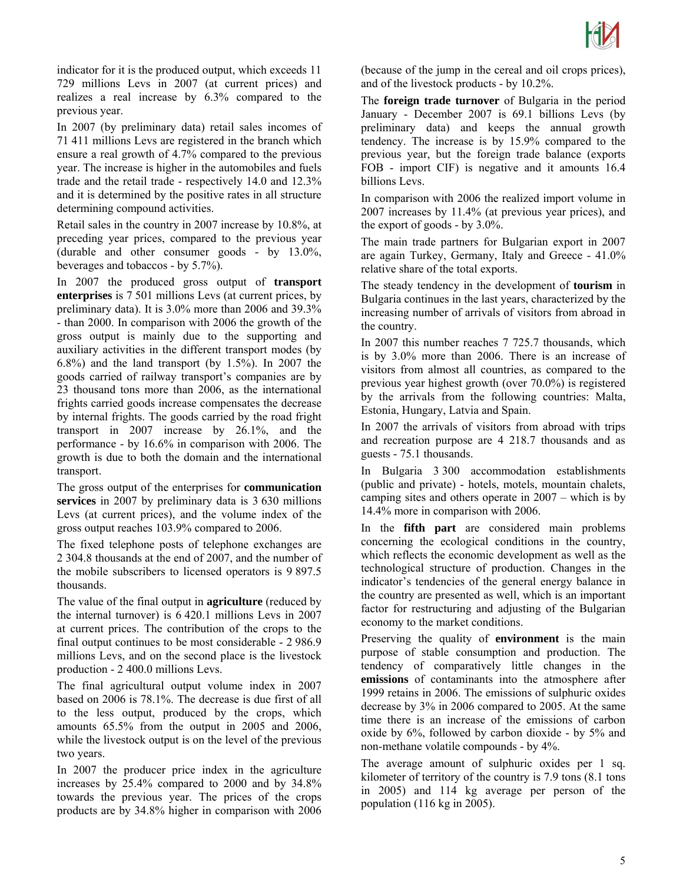

indicator for it is the produced output, which exceeds 11 729 millions Levs in 2007 (at current prices) and realizes a real increase by 6.3% compared to the previous year.

In 2007 (by preliminary data) retail sales incomes of 71 411 millions Levs are registered in the branch which ensure a real growth of 4.7% compared to the previous year. The increase is higher in the automobiles and fuels trade and the retail trade - respectively 14.0 and 12.3% and it is determined by the positive rates in all structure determining compound activities.

Retail sales in the country in 2007 increase by 10.8%, at preceding year prices, compared to the previous year (durable and other consumer goods - by 13.0%, beverages and tobaccos - by 5.7%).

In 2007 the produced gross output of **transport enterprises** is 7 501 millions Levs (at current prices, by preliminary data). It is 3.0% more than 2006 and 39.3% - than 2000. In comparison with 2006 the growth of the gross output is mainly due to the supporting and auxiliary activities in the different transport modes (by 6.8%) and the land transport (by 1.5%). In 2007 the goods carried of railway transport's companies are by 23 thousand tons more than 2006, as the international frights carried goods increase compensates the decrease by internal frights. The goods carried by the road fright transport in 2007 increase by 26.1%, and the performance - by 16.6% in comparison with 2006. The growth is due to both the domain and the international transport.

The gross output of the enterprises for **communication services** in 2007 by preliminary data is 3 630 millions Levs (at current prices), and the volume index of the gross output reaches 103.9% compared to 2006.

The fixed telephone posts of telephone exchanges are 2 304.8 thousands at the end of 2007, and the number of the mobile subscribers to licensed operators is 9 897.5 thousands.

The value of the final output in **agriculture** (reduced by the internal turnover) is 6 420.1 millions Levs in 2007 at current prices. The contribution of the crops to the final output continues to be most considerable - 2 986.9 millions Levs, and on the second place is the livestock production - 2 400.0 millions Levs.

The final agricultural output volume index in 2007 based on 2006 is 78.1%. The decrease is due first of all to the less output, produced by the crops, which amounts 65.5% from the output in 2005 and 2006, while the livestock output is on the level of the previous two years.

In 2007 the producer price index in the agriculture increases by 25.4% compared to 2000 and by 34.8% towards the previous year. The prices of the crops products are by 34.8% higher in comparison with 2006

(because of the jump in the cereal and oil crops prices), and of the livestock products - by 10.2%.

The **foreign trade turnover** of Bulgaria in the period January - December 2007 is 69.1 billions Levs (by preliminary data) and keeps the annual growth tendency. The increase is by 15.9% compared to the previous year, but the foreign trade balance (exports FOB - import CIF) is negative and it amounts 16.4 billions Levs.

In comparison with 2006 the realized import volume in 2007 increases by 11.4% (at previous year prices), and the export of goods - by 3.0%.

The main trade partners for Bulgarian export in 2007 are again Turkey, Germany, Italy and Greece - 41.0% relative share of the total exports.

The steady tendency in the development of **tourism** in Bulgaria continues in the last years, characterized by the increasing number of arrivals of visitors from abroad in the country.

In 2007 this number reaches 7 725.7 thousands, which is by 3.0% more than 2006. There is an increase of visitors from almost all countries, as compared to the previous year highest growth (over 70.0%) is registered by the arrivals from the following countries: Malta, Estonia, Hungary, Latvia and Spain.

In 2007 the arrivals of visitors from abroad with trips and recreation purpose are 4 218.7 thousands and as guests - 75.1 thousands.

In Bulgaria 3 300 accommodation establishments (public and private) - hotels, motels, mountain chalets, camping sites and others operate in 2007 – which is by 14.4% more in comparison with 2006.

In the **fifth part** are considered main problems concerning the ecological conditions in the country, which reflects the economic development as well as the technological structure of production. Changes in the indicator's tendencies of the general energy balance in the country are presented as well, which is an important factor for restructuring and adjusting of the Bulgarian economy to the market conditions.

Preserving the quality of **environment** is the main purpose of stable consumption and production. The tendency of comparatively little changes in the **emissions** of contaminants into the atmosphere after 1999 retains in 2006. The emissions of sulphuric oxides decrease by 3% in 2006 compared to 2005. At the same time there is an increase of the emissions of carbon oxide by 6%, followed by carbon dioxide - by 5% and non-methane volatile compounds - by 4%.

The average amount of sulphuric oxides per 1 sq. kilometer of territory of the country is 7.9 tons (8.1 tons in 2005) and 114 kg average per person of the population (116 kg in 2005).